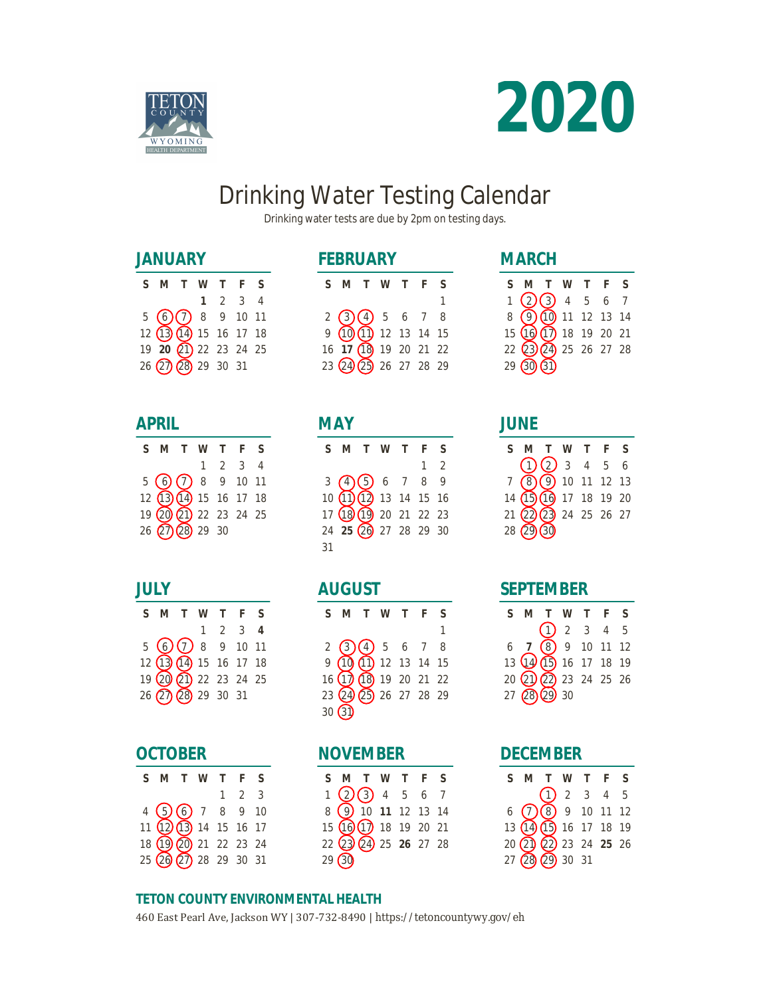



# Drinking Water Testing Calendar

Drinking water tests are due by 2pm on testing days.

## **JANUARY**

| S M T W T F S               |  |                 |  |
|-----------------------------|--|-----------------|--|
|                             |  | $1 \t2 \t3 \t4$ |  |
| $5$ (6) (7) 8 9 10 11       |  |                 |  |
| 12(13(14) 15 16 17 18       |  |                 |  |
| 19 20 21 22 23 24 25        |  |                 |  |
| $26$ $(27)$ $(28)$ 29 30 31 |  |                 |  |

#### **APRIL**

| S M T W T F S                                  |  |                 |  |
|------------------------------------------------|--|-----------------|--|
|                                                |  | $1 \t2 \t3 \t4$ |  |
| $5$ $\odot$ $\odot$ 8 9 10 11                  |  |                 |  |
| 12 13 14 15 16 17 18                           |  |                 |  |
| 19 20 21 22 23 24 25                           |  |                 |  |
| $26$ $\overline{(27)}$ $\overline{(28)}$ 29 30 |  |                 |  |

## **JULY**

| S M T W T F S                                 |  |                             |  |
|-----------------------------------------------|--|-----------------------------|--|
|                                               |  | $1 \quad 2 \quad 3 \quad 4$ |  |
| $5$ ( $\bigcirc$ ( $\bigcirc$ 8 $\circ$ 10 11 |  |                             |  |
| 12 13 14 15 16 17 18                          |  |                             |  |
| 19 20 21 22 23 24 25                          |  |                             |  |
| 26 27 28 29 30 31                             |  |                             |  |

#### **OCTOBER**

| S M T W T F S                              |  |                     |  |
|--------------------------------------------|--|---------------------|--|
|                                            |  | $1 \quad 2 \quad 3$ |  |
| $4\bigcirc 6$ 7 8 9 10                     |  |                     |  |
| $11\overline{12}\overline{13}$ 14 15 16 17 |  |                     |  |
| 18 19 20 21 22 23 24                       |  |                     |  |
| 25 20 27 28 29 30 31                       |  |                     |  |

# **FEBRUARY**

| S M T W T F S                                   |  |  |   |
|-------------------------------------------------|--|--|---|
|                                                 |  |  | 1 |
| $2$ 3 4 5 6 7 8                                 |  |  |   |
| $9$ $\overline{10}$ $\overline{11}$ 12 13 14 15 |  |  |   |
| 16 17 18 19 20 21 22                            |  |  |   |
| 23 24 25 26 27 28 29                            |  |  |   |

## **MAY**

|    | S M T W T F S                                                                                           |  |            |  |
|----|---------------------------------------------------------------------------------------------------------|--|------------|--|
|    |                                                                                                         |  | $1\quad 2$ |  |
|    | 3 (4) (5) 6 7 8 9<br>10 (1) (1) 13 14 15 16<br>17 (13) (19) 20 21 22 23<br>24 <b>25</b> (20 27 28 29 30 |  |            |  |
|    |                                                                                                         |  |            |  |
|    |                                                                                                         |  |            |  |
|    |                                                                                                         |  |            |  |
| 31 |                                                                                                         |  |            |  |

## **AUGUST**

| S M T W T F          |  |  |  |
|----------------------|--|--|--|
|                      |  |  |  |
|                      |  |  |  |
|                      |  |  |  |
| 16 17 18 19 20 21 22 |  |  |  |
| 23 24 25 26 27 28 29 |  |  |  |
| 30(3)                |  |  |  |

# **NOVEMBER**

| S M T W T F S                         |  |  |  |
|---------------------------------------|--|--|--|
| $1$ 2 3 4 5 6 7<br>8 9 10 11 12 13 14 |  |  |  |
|                                       |  |  |  |
| 15 16 17 18 19 20 21                  |  |  |  |
| 22 23 24 25 26 27 28                  |  |  |  |
| 29(30)                                |  |  |  |

# **MARCH**

| S M T W T F             |  |  | ς |
|-------------------------|--|--|---|
| $1$ (2)(3) 4 5 6 7      |  |  |   |
| 8 9 10 11 12 13 14      |  |  |   |
| 15 (16 (17) 18 19 20 21 |  |  |   |
| 22 23 24 25 26 27 28    |  |  |   |
| 29(30(3)                |  |  |   |

## **JUNE**

| SMTWTFS                |                       |  |  |
|------------------------|-----------------------|--|--|
|                        | $\bigodot(2)$ 3 4 5 6 |  |  |
| 7 8 9 10 11 12 13      |                       |  |  |
| 14 (15 (16 17 18 19 20 |                       |  |  |
| 21 22 23 24 25 26 27   |                       |  |  |
| $28(29)$ 30            |                       |  |  |

## **SEPTEMBER**

|  | S M T W T F S                                                                                            |  |  |
|--|----------------------------------------------------------------------------------------------------------|--|--|
|  |                                                                                                          |  |  |
|  | $\begin{array}{c} \bigoplus 2 & 3 & 4 & 5 \\ 6 & \textbf{7} & \textbf{8} & 9 & 10 & 11 & 12 \end{array}$ |  |  |
|  | 13 14 15 16 17 18 19                                                                                     |  |  |
|  | 20 21 22 23 24 25 26                                                                                     |  |  |
|  | 27 28 29 30                                                                                              |  |  |

#### **DECEMBER**

| S M T W T F S                                                                                            |  |  |  |
|----------------------------------------------------------------------------------------------------------|--|--|--|
|                                                                                                          |  |  |  |
| $\begin{array}{c} \bigodot \bigodot 2 & 3 & 4 & 5 \\ 6 & \bigodot \bigodot 9 & 10 & 11 & 12 \end{array}$ |  |  |  |
| 13 (14) (15) 16 17 18 19                                                                                 |  |  |  |
| 20 20 22 23 24 25 26                                                                                     |  |  |  |
| 27(28(29)3031)                                                                                           |  |  |  |

#### **TETON COUNTY ENVIRONMENTAL HEALTH**

460 East Pearl Ave, Jackson WY | 307-732-8490 | https://tetoncountywy.gov/eh